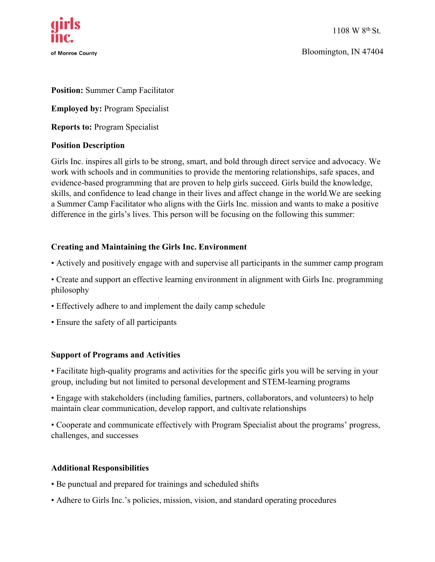

Bloomington, IN 47404

### **Position:** Summer Camp Facilitator

**Employed by:** Program Specialist

**Reports to:** Program Specialist

### **Position Description**

Girls Inc. inspires all girls to be strong, smart, and bold through direct service and advocacy. We work with schools and in communities to provide the mentoring relationships, safe spaces, and evidence-based programming that are proven to help girls succeed. Girls build the knowledge, skills, and confidence to lead change in their lives and affect change in the world.We are seeking a Summer Camp Facilitator who aligns with the Girls Inc. mission and wants to make a positive difference in the girls's lives. This person will be focusing on the following this summer:

## **Creating and Maintaining the Girls Inc. Environment**

- Actively and positively engage with and supervise all participants in the summer camp program
- Create and support an effective learning environment in alignment with Girls Inc. programming philosophy
- Effectively adhere to and implement the daily camp schedule
- Ensure the safety of all participants

### **Support of Programs and Activities**

• Facilitate high-quality programs and activities for the specific girls you will be serving in your group, including but not limited to personal development and STEM-learning programs

• Engage with stakeholders (including families, partners, collaborators, and volunteers) to help maintain clear communication, develop rapport, and cultivate relationships

• Cooperate and communicate effectively with Program Specialist about the programs' progress, challenges, and successes

### **Additional Responsibilities**

- Be punctual and prepared for trainings and scheduled shifts
- Adhere to Girls Inc.'s policies, mission, vision, and standard operating procedures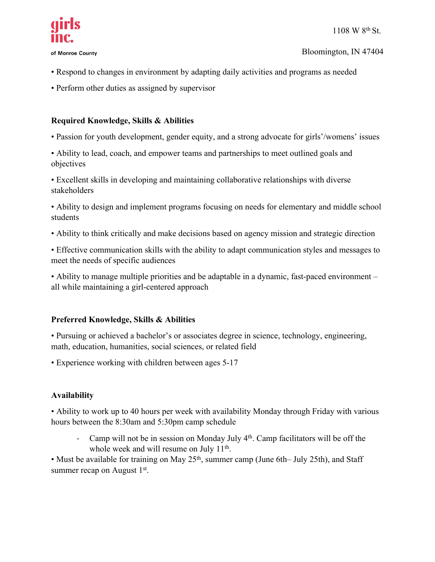

of Monroe County

- Respond to changes in environment by adapting daily activities and programs as needed
- Perform other duties as assigned by supervisor

# **Required Knowledge, Skills & Abilities**

- Passion for youth development, gender equity, and a strong advocate for girls'/womens' issues
- Ability to lead, coach, and empower teams and partnerships to meet outlined goals and objectives
- Excellent skills in developing and maintaining collaborative relationships with diverse stakeholders

• Ability to design and implement programs focusing on needs for elementary and middle school students

• Ability to think critically and make decisions based on agency mission and strategic direction

• Effective communication skills with the ability to adapt communication styles and messages to meet the needs of specific audiences

• Ability to manage multiple priorities and be adaptable in a dynamic, fast-paced environment – all while maintaining a girl-centered approach

# **Preferred Knowledge, Skills & Abilities**

• Pursuing or achieved a bachelor's or associates degree in science, technology, engineering, math, education, humanities, social sciences, or related field

• Experience working with children between ages 5-17

# **Availability**

• Ability to work up to 40 hours per week with availability Monday through Friday with various hours between the 8:30am and 5:30pm camp schedule

- Camp will not be in session on Monday July  $4<sup>th</sup>$ . Camp facilitators will be off the whole week and will resume on July 11<sup>th</sup>.

• Must be available for training on May 25<sup>th</sup>, summer camp (June 6th– July 25th), and Staff summer recap on August  $1<sup>st</sup>$ .